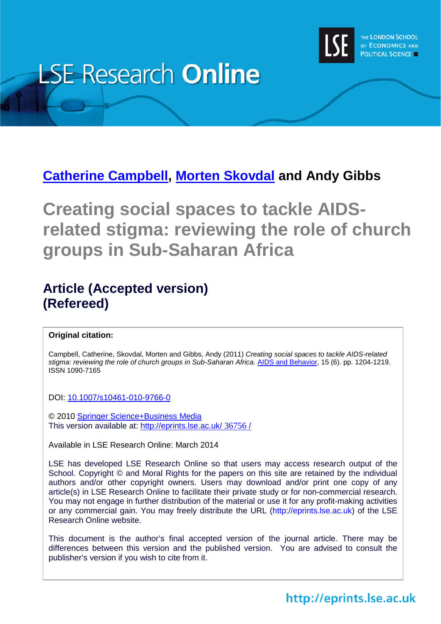

# **LSE Research Online**

# **[Catherine Campbell,](http://www.lse.ac.uk/researchAndExpertise/Experts/profile.aspx?KeyValue=c.campbell@lse.ac.uk) Morten [Skovdal](http://www.lse.ac.uk/researchAndExpertise/Experts/profile.aspx?KeyValue=m.skovdal@lse.ac.uk) and Andy Gibbs**

**Creating social spaces to tackle AIDSrelated stigma: reviewing the role of church groups in Sub-Saharan Africa**

# **Article (Accepted version) (Refereed)**

### **Original citation:**

Campbell, Catherine, Skovdal, Morten and Gibbs, Andy (2011) *Creating social spaces to tackle AIDS-related stigma: reviewing the role of church groups in Sub-Saharan Africa.* [AIDS and Behavior,](http://www.springerlink.com/content/1090-7165) 15 (6). pp. 1204-1219. ISSN 1090-7165

DOI: 10.1007/s10461-010-9766-0

© 2010 [Springer Science+Business Media](http://www.springerlink.com/) This version available at: [http://eprints.lse.ac.uk/](http://eprints.lse.ac.uk/%2036756%20/) 36756 /

Available in LSE Research Online: March 2014

LSE has developed LSE Research Online so that users may access research output of the School. Copyright © and Moral Rights for the papers on this site are retained by the individual authors and/or other copyright owners. Users may download and/or print one copy of any article(s) in LSE Research Online to facilitate their private study or for non-commercial research. You may not engage in further distribution of the material or use it for any profit-making activities or any commercial gain. You may freely distribute the URL (http://eprints.lse.ac.uk) of the LSE Research Online website.

This document is the author's final accepted version of the journal article. There may be differences between this version and the published version. You are advised to consult the publisher's version if you wish to cite from it.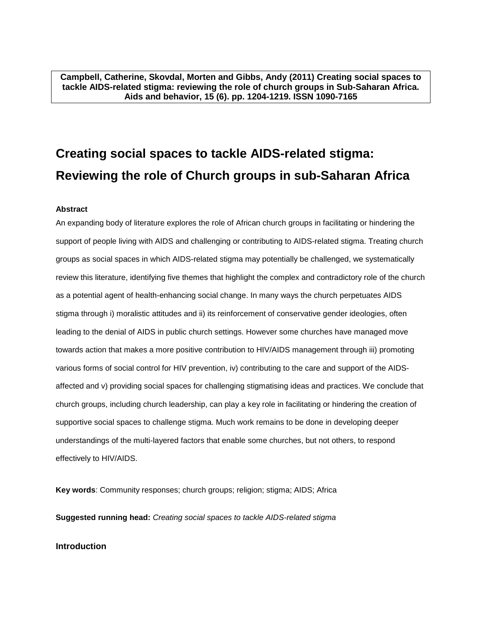**Campbell, Catherine, Skovdal, Morten and Gibbs, Andy (2011) Creating social spaces to tackle AIDS-related stigma: reviewing the role of church groups in Sub-Saharan Africa. Aids and behavior, 15 (6). pp. 1204-1219. ISSN 1090-7165**

# **Creating social spaces to tackle AIDS-related stigma: Reviewing the role of Church groups in sub-Saharan Africa**

### **Abstract**

An expanding body of literature explores the role of African church groups in facilitating or hindering the support of people living with AIDS and challenging or contributing to AIDS-related stigma. Treating church groups as social spaces in which AIDS-related stigma may potentially be challenged, we systematically review this literature, identifying five themes that highlight the complex and contradictory role of the church as a potential agent of health-enhancing social change. In many ways the church perpetuates AIDS stigma through i) moralistic attitudes and ii) its reinforcement of conservative gender ideologies, often leading to the denial of AIDS in public church settings. However some churches have managed move towards action that makes a more positive contribution to HIV/AIDS management through iii) promoting various forms of social control for HIV prevention, iv) contributing to the care and support of the AIDSaffected and v) providing social spaces for challenging stigmatising ideas and practices. We conclude that church groups, including church leadership, can play a key role in facilitating or hindering the creation of supportive social spaces to challenge stigma. Much work remains to be done in developing deeper understandings of the multi-layered factors that enable some churches, but not others, to respond effectively to HIV/AIDS.

**Key words**: Community responses; church groups; religion; stigma; AIDS; Africa

**Suggested running head:** *Creating social spaces to tackle AIDS-related stigma*

### **Introduction**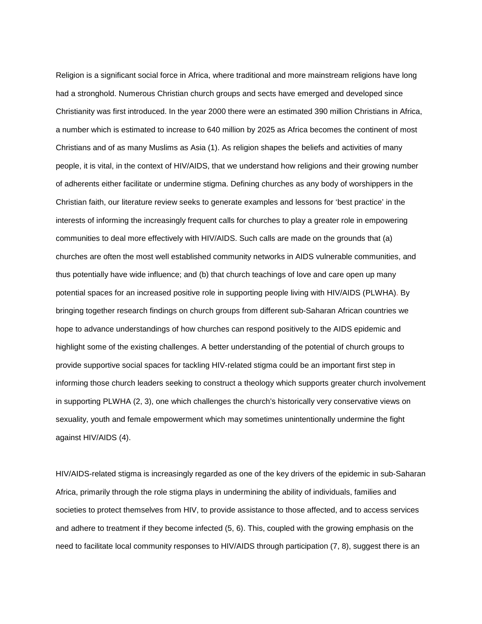Religion is a significant social force in Africa, where traditional and more mainstream religions have long had a stronghold. Numerous Christian church groups and sects have emerged and developed since Christianity was first introduced. In the year 2000 there were an estimated 390 million Christians in Africa, a number which is estimated to increase to 640 million by 2025 as Africa becomes the continent of most Christians and of as many Muslims as Asia (1). As religion shapes the beliefs and activities of many people, it is vital, in the context of HIV/AIDS, that we understand how religions and their growing number of adherents either facilitate or undermine stigma. Defining churches as any body of worshippers in the Christian faith, our literature review seeks to generate examples and lessons for 'best practice' in the interests of informing the increasingly frequent calls for churches to play a greater role in empowering communities to deal more effectively with HIV/AIDS. Such calls are made on the grounds that (a) churches are often the most well established community networks in AIDS vulnerable communities, and thus potentially have wide influence; and (b) that church teachings of love and care open up many potential spaces for an increased positive role in supporting people living with HIV/AIDS (PLWHA). By bringing together research findings on church groups from different sub-Saharan African countries we hope to advance understandings of how churches can respond positively to the AIDS epidemic and highlight some of the existing challenges. A better understanding of the potential of church groups to provide supportive social spaces for tackling HIV-related stigma could be an important first step in informing those church leaders seeking to construct a theology which supports greater church involvement in supporting PLWHA (2, 3), one which challenges the church's historically very conservative views on sexuality, youth and female empowerment which may sometimes unintentionally undermine the fight against HIV/AIDS (4).

HIV/AIDS-related stigma is increasingly regarded as one of the key drivers of the epidemic in sub-Saharan Africa, primarily through the role stigma plays in undermining the ability of individuals, families and societies to protect themselves from HIV, to provide assistance to those affected, and to access services and adhere to treatment if they become infected (5, 6). This, coupled with the growing emphasis on the need to facilitate local community responses to HIV/AIDS through participation (7, 8), suggest there is an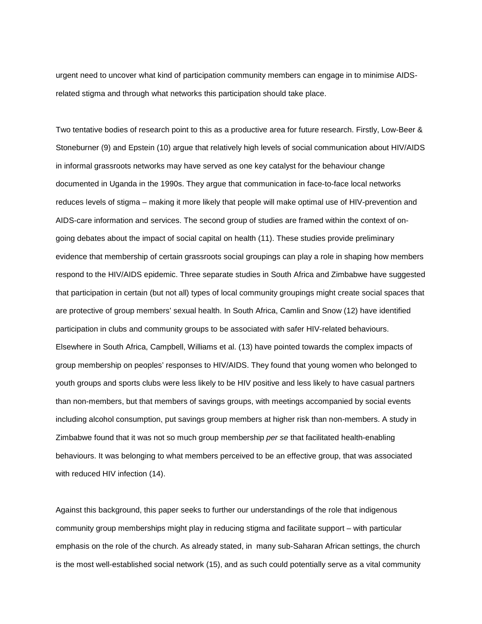urgent need to uncover what kind of participation community members can engage in to minimise AIDSrelated stigma and through what networks this participation should take place.

Two tentative bodies of research point to this as a productive area for future research. Firstly, Low-Beer & Stoneburner (9) and Epstein (10) argue that relatively high levels of social communication about HIV/AIDS in informal grassroots networks may have served as one key catalyst for the behaviour change documented in Uganda in the 1990s. They argue that communication in face-to-face local networks reduces levels of stigma – making it more likely that people will make optimal use of HIV-prevention and AIDS-care information and services. The second group of studies are framed within the context of ongoing debates about the impact of social capital on health (11). These studies provide preliminary evidence that membership of certain grassroots social groupings can play a role in shaping how members respond to the HIV/AIDS epidemic. Three separate studies in South Africa and Zimbabwe have suggested that participation in certain (but not all) types of local community groupings might create social spaces that are protective of group members' sexual health. In South Africa, Camlin and Snow (12) have identified participation in clubs and community groups to be associated with safer HIV-related behaviours. Elsewhere in South Africa, Campbell, Williams et al. (13) have pointed towards the complex impacts of group membership on peoples' responses to HIV/AIDS. They found that young women who belonged to youth groups and sports clubs were less likely to be HIV positive and less likely to have casual partners than non-members, but that members of savings groups, with meetings accompanied by social events including alcohol consumption, put savings group members at higher risk than non-members. A study in Zimbabwe found that it was not so much group membership *per se* that facilitated health-enabling behaviours. It was belonging to what members perceived to be an effective group, that was associated with reduced HIV infection (14).

Against this background, this paper seeks to further our understandings of the role that indigenous community group memberships might play in reducing stigma and facilitate support – with particular emphasis on the role of the church. As already stated, in many sub-Saharan African settings, the church is the most well-established social network (15), and as such could potentially serve as a vital community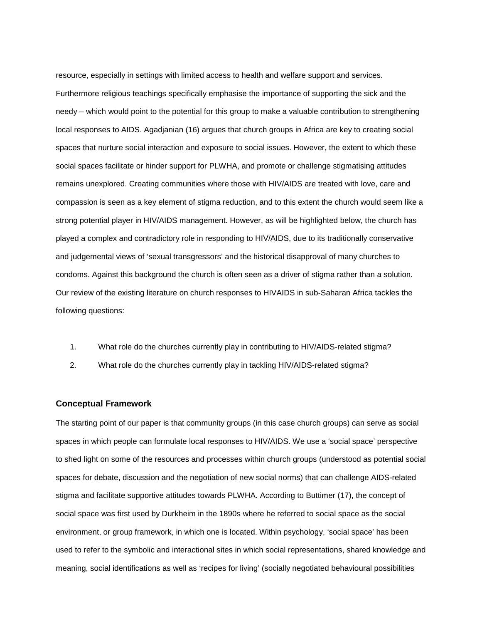resource, especially in settings with limited access to health and welfare support and services. Furthermore religious teachings specifically emphasise the importance of supporting the sick and the needy – which would point to the potential for this group to make a valuable contribution to strengthening local responses to AIDS. Agadjanian (16) argues that church groups in Africa are key to creating social spaces that nurture social interaction and exposure to social issues. However, the extent to which these social spaces facilitate or hinder support for PLWHA, and promote or challenge stigmatising attitudes remains unexplored. Creating communities where those with HIV/AIDS are treated with love, care and compassion is seen as a key element of stigma reduction, and to this extent the church would seem like a strong potential player in HIV/AIDS management. However, as will be highlighted below, the church has played a complex and contradictory role in responding to HIV/AIDS, due to its traditionally conservative and judgemental views of 'sexual transgressors' and the historical disapproval of many churches to condoms. Against this background the church is often seen as a driver of stigma rather than a solution. Our review of the existing literature on church responses to HIVAIDS in sub-Saharan Africa tackles the following questions:

- 1. What role do the churches currently play in contributing to HIV/AIDS-related stigma?
- 2. What role do the churches currently play in tackling HIV/AIDS-related stigma?

### **Conceptual Framework**

The starting point of our paper is that community groups (in this case church groups) can serve as social spaces in which people can formulate local responses to HIV/AIDS. We use a 'social space' perspective to shed light on some of the resources and processes within church groups (understood as potential social spaces for debate, discussion and the negotiation of new social norms) that can challenge AIDS-related stigma and facilitate supportive attitudes towards PLWHA. According to Buttimer (17), the concept of social space was first used by Durkheim in the 1890s where he referred to social space as the social environment, or group framework, in which one is located. Within psychology, 'social space' has been used to refer to the symbolic and interactional sites in which social representations, shared knowledge and meaning, social identifications as well as 'recipes for living' (socially negotiated behavioural possibilities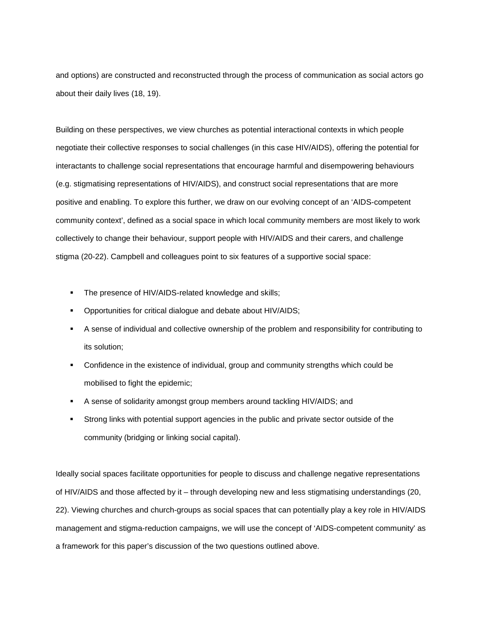and options) are constructed and reconstructed through the process of communication as social actors go about their daily lives (18, 19).

Building on these perspectives, we view churches as potential interactional contexts in which people negotiate their collective responses to social challenges (in this case HIV/AIDS), offering the potential for interactants to challenge social representations that encourage harmful and disempowering behaviours (e.g. stigmatising representations of HIV/AIDS), and construct social representations that are more positive and enabling. To explore this further, we draw on our evolving concept of an 'AIDS-competent community context', defined as a social space in which local community members are most likely to work collectively to change their behaviour, support people with HIV/AIDS and their carers, and challenge stigma (20-22). Campbell and colleagues point to six features of a supportive social space:

- The presence of HIV/AIDS-related knowledge and skills;
- Opportunities for critical dialogue and debate about HIV/AIDS;
- A sense of individual and collective ownership of the problem and responsibility for contributing to its solution;
- Confidence in the existence of individual, group and community strengths which could be mobilised to fight the epidemic;
- A sense of solidarity amongst group members around tackling HIV/AIDS; and
- Strong links with potential support agencies in the public and private sector outside of the community (bridging or linking social capital).

Ideally social spaces facilitate opportunities for people to discuss and challenge negative representations of HIV/AIDS and those affected by it – through developing new and less stigmatising understandings (20, 22). Viewing churches and church-groups as social spaces that can potentially play a key role in HIV/AIDS management and stigma-reduction campaigns, we will use the concept of 'AIDS-competent community' as a framework for this paper's discussion of the two questions outlined above.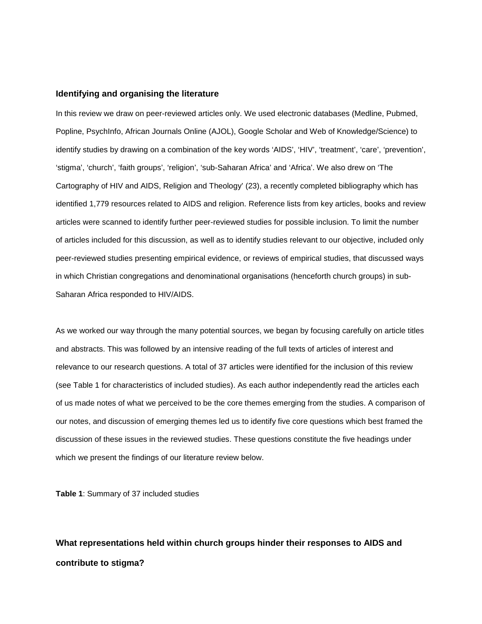### **Identifying and organising the literature**

In this review we draw on peer-reviewed articles only. We used electronic databases (Medline, Pubmed, Popline, PsychInfo, African Journals Online (AJOL), Google Scholar and Web of Knowledge/Science) to identify studies by drawing on a combination of the key words 'AIDS', 'HIV', 'treatment', 'care', 'prevention', 'stigma', 'church', 'faith groups', 'religion', 'sub-Saharan Africa' and 'Africa'. We also drew on 'The Cartography of HIV and AIDS, Religion and Theology' (23), a recently completed bibliography which has identified 1,779 resources related to AIDS and religion. Reference lists from key articles, books and review articles were scanned to identify further peer-reviewed studies for possible inclusion. To limit the number of articles included for this discussion, as well as to identify studies relevant to our objective, included only peer-reviewed studies presenting empirical evidence, or reviews of empirical studies, that discussed ways in which Christian congregations and denominational organisations (henceforth church groups) in sub-Saharan Africa responded to HIV/AIDS.

As we worked our way through the many potential sources, we began by focusing carefully on article titles and abstracts. This was followed by an intensive reading of the full texts of articles of interest and relevance to our research questions. A total of 37 articles were identified for the inclusion of this review (see Table 1 for characteristics of included studies). As each author independently read the articles each of us made notes of what we perceived to be the core themes emerging from the studies. A comparison of our notes, and discussion of emerging themes led us to identify five core questions which best framed the discussion of these issues in the reviewed studies. These questions constitute the five headings under which we present the findings of our literature review below.

**Table 1**: Summary of 37 included studies

### **What representations held within church groups hinder their responses to AIDS and contribute to stigma?**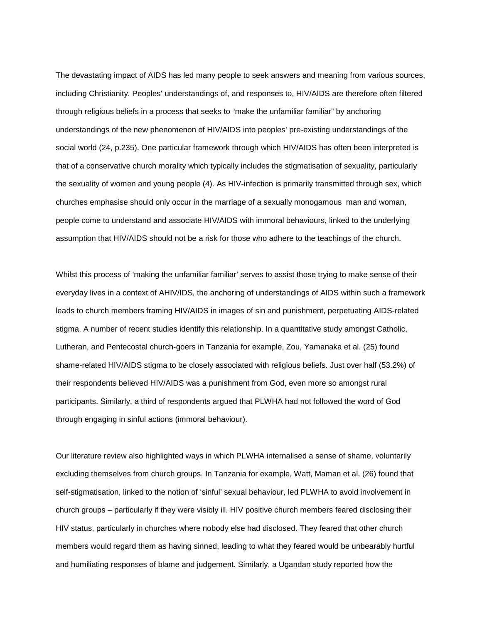The devastating impact of AIDS has led many people to seek answers and meaning from various sources, including Christianity. Peoples' understandings of, and responses to, HIV/AIDS are therefore often filtered through religious beliefs in a process that seeks to "make the unfamiliar familiar" by anchoring understandings of the new phenomenon of HIV/AIDS into peoples' pre-existing understandings of the social world (24, p.235). One particular framework through which HIV/AIDS has often been interpreted is that of a conservative church morality which typically includes the stigmatisation of sexuality, particularly the sexuality of women and young people (4). As HIV-infection is primarily transmitted through sex, which churches emphasise should only occur in the marriage of a sexually monogamous man and woman, people come to understand and associate HIV/AIDS with immoral behaviours, linked to the underlying assumption that HIV/AIDS should not be a risk for those who adhere to the teachings of the church.

Whilst this process of 'making the unfamiliar familiar' serves to assist those trying to make sense of their everyday lives in a context of AHIV/IDS, the anchoring of understandings of AIDS within such a framework leads to church members framing HIV/AIDS in images of sin and punishment, perpetuating AIDS-related stigma. A number of recent studies identify this relationship. In a quantitative study amongst Catholic, Lutheran, and Pentecostal church-goers in Tanzania for example, Zou, Yamanaka et al. (25) found shame-related HIV/AIDS stigma to be closely associated with religious beliefs. Just over half (53.2%) of their respondents believed HIV/AIDS was a punishment from God, even more so amongst rural participants. Similarly, a third of respondents argued that PLWHA had not followed the word of God through engaging in sinful actions (immoral behaviour).

Our literature review also highlighted ways in which PLWHA internalised a sense of shame, voluntarily excluding themselves from church groups. In Tanzania for example, Watt, Maman et al. (26) found that self-stigmatisation, linked to the notion of 'sinful' sexual behaviour, led PLWHA to avoid involvement in church groups – particularly if they were visibly ill. HIV positive church members feared disclosing their HIV status, particularly in churches where nobody else had disclosed. They feared that other church members would regard them as having sinned, leading to what they feared would be unbearably hurtful and humiliating responses of blame and judgement. Similarly, a Ugandan study reported how the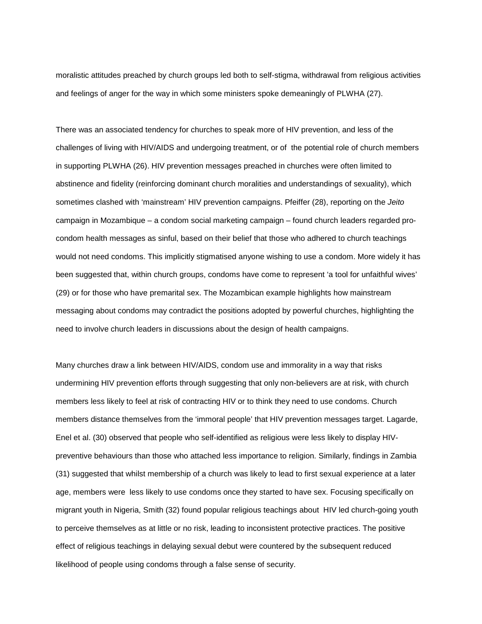moralistic attitudes preached by church groups led both to self-stigma, withdrawal from religious activities and feelings of anger for the way in which some ministers spoke demeaningly of PLWHA (27).

There was an associated tendency for churches to speak more of HIV prevention, and less of the challenges of living with HIV/AIDS and undergoing treatment, or of the potential role of church members in supporting PLWHA (26). HIV prevention messages preached in churches were often limited to abstinence and fidelity (reinforcing dominant church moralities and understandings of sexuality), which sometimes clashed with 'mainstream' HIV prevention campaigns. Pfeiffer (28), reporting on the *Jeito* campaign in Mozambique – a condom social marketing campaign – found church leaders regarded procondom health messages as sinful, based on their belief that those who adhered to church teachings would not need condoms. This implicitly stigmatised anyone wishing to use a condom. More widely it has been suggested that, within church groups, condoms have come to represent 'a tool for unfaithful wives' (29) or for those who have premarital sex. The Mozambican example highlights how mainstream messaging about condoms may contradict the positions adopted by powerful churches, highlighting the need to involve church leaders in discussions about the design of health campaigns.

Many churches draw a link between HIV/AIDS, condom use and immorality in a way that risks undermining HIV prevention efforts through suggesting that only non-believers are at risk, with church members less likely to feel at risk of contracting HIV or to think they need to use condoms. Church members distance themselves from the 'immoral people' that HIV prevention messages target. Lagarde, Enel et al. (30) observed that people who self-identified as religious were less likely to display HIVpreventive behaviours than those who attached less importance to religion. Similarly, findings in Zambia (31) suggested that whilst membership of a church was likely to lead to first sexual experience at a later age, members were less likely to use condoms once they started to have sex. Focusing specifically on migrant youth in Nigeria, Smith (32) found popular religious teachings about HIV led church-going youth to perceive themselves as at little or no risk, leading to inconsistent protective practices. The positive effect of religious teachings in delaying sexual debut were countered by the subsequent reduced likelihood of people using condoms through a false sense of security.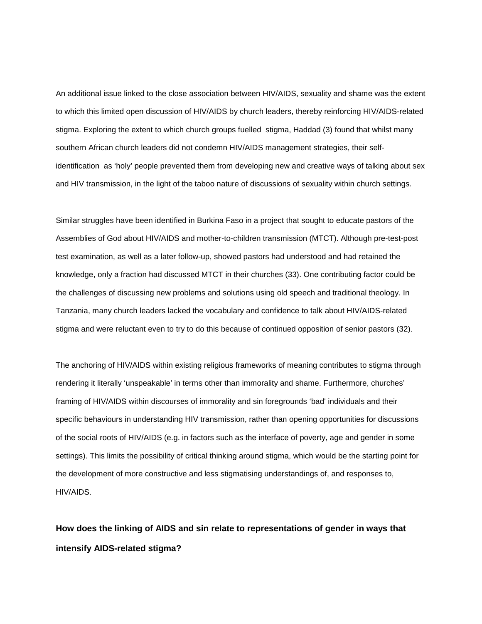An additional issue linked to the close association between HIV/AIDS, sexuality and shame was the extent to which this limited open discussion of HIV/AIDS by church leaders, thereby reinforcing HIV/AIDS-related stigma. Exploring the extent to which church groups fuelled stigma, Haddad (3) found that whilst many southern African church leaders did not condemn HIV/AIDS management strategies, their selfidentification as 'holy' people prevented them from developing new and creative ways of talking about sex and HIV transmission, in the light of the taboo nature of discussions of sexuality within church settings.

Similar struggles have been identified in Burkina Faso in a project that sought to educate pastors of the Assemblies of God about HIV/AIDS and mother-to-children transmission (MTCT). Although pre-test-post test examination, as well as a later follow-up, showed pastors had understood and had retained the knowledge, only a fraction had discussed MTCT in their churches (33). One contributing factor could be the challenges of discussing new problems and solutions using old speech and traditional theology. In Tanzania, many church leaders lacked the vocabulary and confidence to talk about HIV/AIDS-related stigma and were reluctant even to try to do this because of continued opposition of senior pastors (32).

The anchoring of HIV/AIDS within existing religious frameworks of meaning contributes to stigma through rendering it literally 'unspeakable' in terms other than immorality and shame. Furthermore, churches' framing of HIV/AIDS within discourses of immorality and sin foregrounds 'bad' individuals and their specific behaviours in understanding HIV transmission, rather than opening opportunities for discussions of the social roots of HIV/AIDS (e.g. in factors such as the interface of poverty, age and gender in some settings). This limits the possibility of critical thinking around stigma, which would be the starting point for the development of more constructive and less stigmatising understandings of, and responses to, HIV/AIDS.

**How does the linking of AIDS and sin relate to representations of gender in ways that intensify AIDS-related stigma?**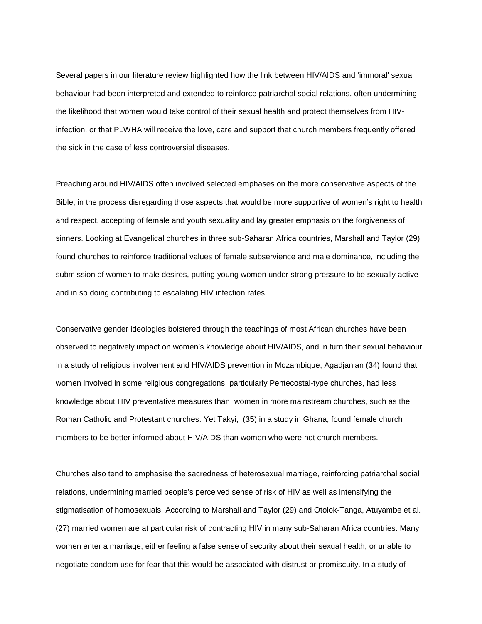Several papers in our literature review highlighted how the link between HIV/AIDS and 'immoral' sexual behaviour had been interpreted and extended to reinforce patriarchal social relations, often undermining the likelihood that women would take control of their sexual health and protect themselves from HIVinfection, or that PLWHA will receive the love, care and support that church members frequently offered the sick in the case of less controversial diseases.

Preaching around HIV/AIDS often involved selected emphases on the more conservative aspects of the Bible; in the process disregarding those aspects that would be more supportive of women's right to health and respect, accepting of female and youth sexuality and lay greater emphasis on the forgiveness of sinners. Looking at Evangelical churches in three sub-Saharan Africa countries, Marshall and Taylor (29) found churches to reinforce traditional values of female subservience and male dominance, including the submission of women to male desires, putting young women under strong pressure to be sexually active – and in so doing contributing to escalating HIV infection rates.

Conservative gender ideologies bolstered through the teachings of most African churches have been observed to negatively impact on women's knowledge about HIV/AIDS, and in turn their sexual behaviour. In a study of religious involvement and HIV/AIDS prevention in Mozambique, Agadjanian (34) found that women involved in some religious congregations, particularly Pentecostal-type churches, had less knowledge about HIV preventative measures than women in more mainstream churches, such as the Roman Catholic and Protestant churches. Yet Takyi, (35) in a study in Ghana, found female church members to be better informed about HIV/AIDS than women who were not church members.

Churches also tend to emphasise the sacredness of heterosexual marriage, reinforcing patriarchal social relations, undermining married people's perceived sense of risk of HIV as well as intensifying the stigmatisation of homosexuals. According to Marshall and Taylor (29) and Otolok-Tanga, Atuyambe et al. (27) married women are at particular risk of contracting HIV in many sub-Saharan Africa countries. Many women enter a marriage, either feeling a false sense of security about their sexual health, or unable to negotiate condom use for fear that this would be associated with distrust or promiscuity. In a study of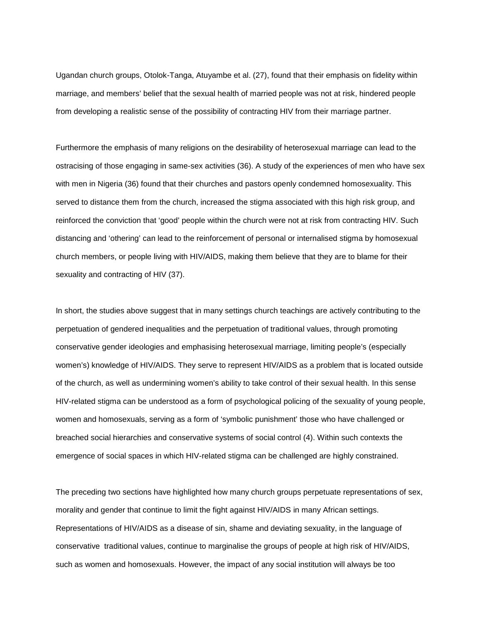Ugandan church groups, Otolok-Tanga, Atuyambe et al. (27), found that their emphasis on fidelity within marriage, and members' belief that the sexual health of married people was not at risk, hindered people from developing a realistic sense of the possibility of contracting HIV from their marriage partner.

Furthermore the emphasis of many religions on the desirability of heterosexual marriage can lead to the ostracising of those engaging in same-sex activities (36). A study of the experiences of men who have sex with men in Nigeria (36) found that their churches and pastors openly condemned homosexuality. This served to distance them from the church, increased the stigma associated with this high risk group, and reinforced the conviction that 'good' people within the church were not at risk from contracting HIV. Such distancing and 'othering' can lead to the reinforcement of personal or internalised stigma by homosexual church members, or people living with HIV/AIDS, making them believe that they are to blame for their sexuality and contracting of HIV (37).

In short, the studies above suggest that in many settings church teachings are actively contributing to the perpetuation of gendered inequalities and the perpetuation of traditional values, through promoting conservative gender ideologies and emphasising heterosexual marriage, limiting people's (especially women's) knowledge of HIV/AIDS. They serve to represent HIV/AIDS as a problem that is located outside of the church, as well as undermining women's ability to take control of their sexual health. In this sense HIV-related stigma can be understood as a form of psychological policing of the sexuality of young people, women and homosexuals, serving as a form of 'symbolic punishment' those who have challenged or breached social hierarchies and conservative systems of social control (4). Within such contexts the emergence of social spaces in which HIV-related stigma can be challenged are highly constrained.

The preceding two sections have highlighted how many church groups perpetuate representations of sex, morality and gender that continue to limit the fight against HIV/AIDS in many African settings. Representations of HIV/AIDS as a disease of sin, shame and deviating sexuality, in the language of conservative traditional values, continue to marginalise the groups of people at high risk of HIV/AIDS, such as women and homosexuals. However, the impact of any social institution will always be too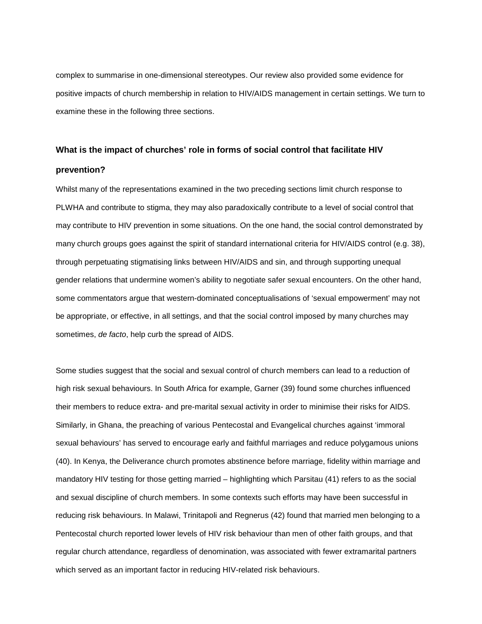complex to summarise in one-dimensional stereotypes. Our review also provided some evidence for positive impacts of church membership in relation to HIV/AIDS management in certain settings. We turn to examine these in the following three sections.

### **What is the impact of churches' role in forms of social control that facilitate HIV**

### **prevention?**

Whilst many of the representations examined in the two preceding sections limit church response to PLWHA and contribute to stigma, they may also paradoxically contribute to a level of social control that may contribute to HIV prevention in some situations. On the one hand, the social control demonstrated by many church groups goes against the spirit of standard international criteria for HIV/AIDS control (e.g. 38), through perpetuating stigmatising links between HIV/AIDS and sin, and through supporting unequal gender relations that undermine women's ability to negotiate safer sexual encounters. On the other hand, some commentators argue that western-dominated conceptualisations of 'sexual empowerment' may not be appropriate, or effective, in all settings, and that the social control imposed by many churches may sometimes, *de facto*, help curb the spread of AIDS.

Some studies suggest that the social and sexual control of church members can lead to a reduction of high risk sexual behaviours. In South Africa for example, Garner (39) found some churches influenced their members to reduce extra- and pre-marital sexual activity in order to minimise their risks for AIDS. Similarly, in Ghana, the preaching of various Pentecostal and Evangelical churches against 'immoral sexual behaviours' has served to encourage early and faithful marriages and reduce polygamous unions (40). In Kenya, the Deliverance church promotes abstinence before marriage, fidelity within marriage and mandatory HIV testing for those getting married – highlighting which Parsitau (41) refers to as the social and sexual discipline of church members. In some contexts such efforts may have been successful in reducing risk behaviours. In Malawi, Trinitapoli and Regnerus (42) found that married men belonging to a Pentecostal church reported lower levels of HIV risk behaviour than men of other faith groups, and that regular church attendance, regardless of denomination, was associated with fewer extramarital partners which served as an important factor in reducing HIV-related risk behaviours.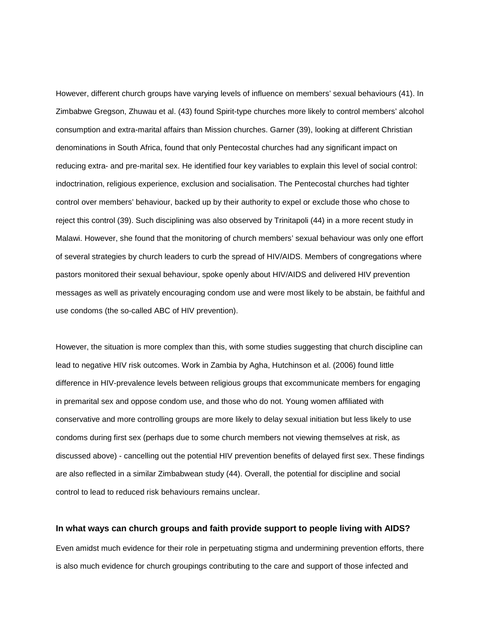However, different church groups have varying levels of influence on members' sexual behaviours (41). In Zimbabwe Gregson, Zhuwau et al. (43) found Spirit-type churches more likely to control members' alcohol consumption and extra-marital affairs than Mission churches. Garner (39), looking at different Christian denominations in South Africa, found that only Pentecostal churches had any significant impact on reducing extra- and pre-marital sex. He identified four key variables to explain this level of social control: indoctrination, religious experience, exclusion and socialisation. The Pentecostal churches had tighter control over members' behaviour, backed up by their authority to expel or exclude those who chose to reject this control (39). Such disciplining was also observed by Trinitapoli (44) in a more recent study in Malawi. However, she found that the monitoring of church members' sexual behaviour was only one effort of several strategies by church leaders to curb the spread of HIV/AIDS. Members of congregations where pastors monitored their sexual behaviour, spoke openly about HIV/AIDS and delivered HIV prevention messages as well as privately encouraging condom use and were most likely to be abstain, be faithful and use condoms (the so-called ABC of HIV prevention).

However, the situation is more complex than this, with some studies suggesting that church discipline can lead to negative HIV risk outcomes. Work in Zambia by Agha, Hutchinson et al. (2006) found little difference in HIV-prevalence levels between religious groups that excommunicate members for engaging in premarital sex and oppose condom use, and those who do not. Young women affiliated with conservative and more controlling groups are more likely to delay sexual initiation but less likely to use condoms during first sex (perhaps due to some church members not viewing themselves at risk, as discussed above) - cancelling out the potential HIV prevention benefits of delayed first sex. These findings are also reflected in a similar Zimbabwean study (44). Overall, the potential for discipline and social control to lead to reduced risk behaviours remains unclear.

# **In what ways can church groups and faith provide support to people living with AIDS?**

Even amidst much evidence for their role in perpetuating stigma and undermining prevention efforts, there is also much evidence for church groupings contributing to the care and support of those infected and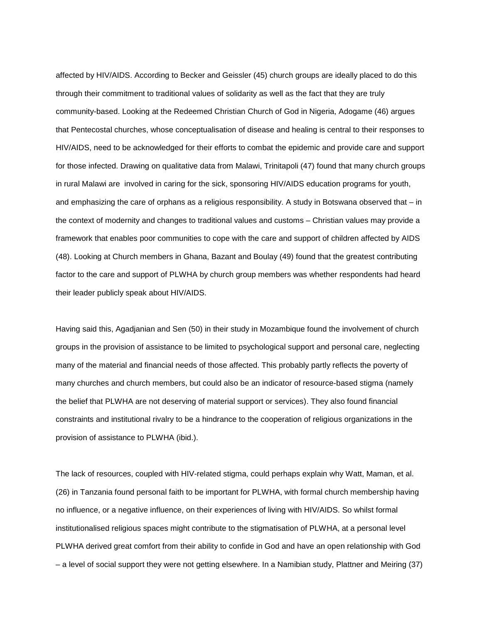affected by HIV/AIDS. According to Becker and Geissler (45) church groups are ideally placed to do this through their commitment to traditional values of solidarity as well as the fact that they are truly community-based. Looking at the Redeemed Christian Church of God in Nigeria, Adogame (46) argues that Pentecostal churches, whose conceptualisation of disease and healing is central to their responses to HIV/AIDS, need to be acknowledged for their efforts to combat the epidemic and provide care and support for those infected. Drawing on qualitative data from Malawi, Trinitapoli (47) found that many church groups in rural Malawi are involved in caring for the sick, sponsoring HIV/AIDS education programs for youth, and emphasizing the care of orphans as a religious responsibility. A study in Botswana observed that – in the context of modernity and changes to traditional values and customs – Christian values may provide a framework that enables poor communities to cope with the care and support of children affected by AIDS (48). Looking at Church members in Ghana, Bazant and Boulay (49) found that the greatest contributing factor to the care and support of PLWHA by church group members was whether respondents had heard their leader publicly speak about HIV/AIDS.

Having said this, Agadjanian and Sen (50) in their study in Mozambique found the involvement of church groups in the provision of assistance to be limited to psychological support and personal care, neglecting many of the material and financial needs of those affected. This probably partly reflects the poverty of many churches and church members, but could also be an indicator of resource-based stigma (namely the belief that PLWHA are not deserving of material support or services). They also found financial constraints and institutional rivalry to be a hindrance to the cooperation of religious organizations in the provision of assistance to PLWHA (ibid.).

The lack of resources, coupled with HIV-related stigma, could perhaps explain why Watt, Maman, et al. (26) in Tanzania found personal faith to be important for PLWHA, with formal church membership having no influence, or a negative influence, on their experiences of living with HIV/AIDS. So whilst formal institutionalised religious spaces might contribute to the stigmatisation of PLWHA, at a personal level PLWHA derived great comfort from their ability to confide in God and have an open relationship with God – a level of social support they were not getting elsewhere. In a Namibian study, Plattner and Meiring (37)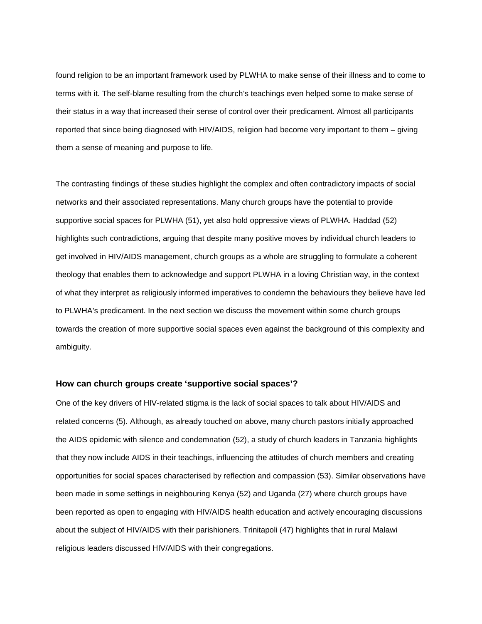found religion to be an important framework used by PLWHA to make sense of their illness and to come to terms with it. The self-blame resulting from the church's teachings even helped some to make sense of their status in a way that increased their sense of control over their predicament. Almost all participants reported that since being diagnosed with HIV/AIDS, religion had become very important to them – giving them a sense of meaning and purpose to life.

The contrasting findings of these studies highlight the complex and often contradictory impacts of social networks and their associated representations. Many church groups have the potential to provide supportive social spaces for PLWHA (51), yet also hold oppressive views of PLWHA. Haddad (52) highlights such contradictions, arguing that despite many positive moves by individual church leaders to get involved in HIV/AIDS management, church groups as a whole are struggling to formulate a coherent theology that enables them to acknowledge and support PLWHA in a loving Christian way, in the context of what they interpret as religiously informed imperatives to condemn the behaviours they believe have led to PLWHA's predicament. In the next section we discuss the movement within some church groups towards the creation of more supportive social spaces even against the background of this complexity and ambiguity.

### **How can church groups create 'supportive social spaces'?**

One of the key drivers of HIV-related stigma is the lack of social spaces to talk about HIV/AIDS and related concerns (5). Although, as already touched on above, many church pastors initially approached the AIDS epidemic with silence and condemnation (52), a study of church leaders in Tanzania highlights that they now include AIDS in their teachings, influencing the attitudes of church members and creating opportunities for social spaces characterised by reflection and compassion (53). Similar observations have been made in some settings in neighbouring Kenya (52) and Uganda (27) where church groups have been reported as open to engaging with HIV/AIDS health education and actively encouraging discussions about the subject of HIV/AIDS with their parishioners. Trinitapoli (47) highlights that in rural Malawi religious leaders discussed HIV/AIDS with their congregations.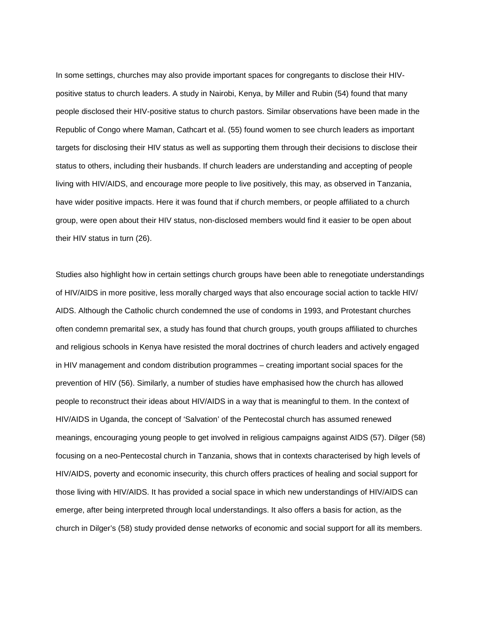In some settings, churches may also provide important spaces for congregants to disclose their HIVpositive status to church leaders. A study in Nairobi, Kenya, by Miller and Rubin (54) found that many people disclosed their HIV-positive status to church pastors. Similar observations have been made in the Republic of Congo where Maman, Cathcart et al. (55) found women to see church leaders as important targets for disclosing their HIV status as well as supporting them through their decisions to disclose their status to others, including their husbands. If church leaders are understanding and accepting of people living with HIV/AIDS, and encourage more people to live positively, this may, as observed in Tanzania, have wider positive impacts. Here it was found that if church members, or people affiliated to a church group, were open about their HIV status, non-disclosed members would find it easier to be open about their HIV status in turn (26).

Studies also highlight how in certain settings church groups have been able to renegotiate understandings of HIV/AIDS in more positive, less morally charged ways that also encourage social action to tackle HIV/ AIDS. Although the Catholic church condemned the use of condoms in 1993, and Protestant churches often condemn premarital sex, a study has found that church groups, youth groups affiliated to churches and religious schools in Kenya have resisted the moral doctrines of church leaders and actively engaged in HIV management and condom distribution programmes – creating important social spaces for the prevention of HIV (56). Similarly, a number of studies have emphasised how the church has allowed people to reconstruct their ideas about HIV/AIDS in a way that is meaningful to them. In the context of HIV/AIDS in Uganda, the concept of 'Salvation' of the Pentecostal church has assumed renewed meanings, encouraging young people to get involved in religious campaigns against AIDS (57). Dilger (58) focusing on a neo-Pentecostal church in Tanzania, shows that in contexts characterised by high levels of HIV/AIDS, poverty and economic insecurity, this church offers practices of healing and social support for those living with HIV/AIDS. It has provided a social space in which new understandings of HIV/AIDS can emerge, after being interpreted through local understandings. It also offers a basis for action, as the church in Dilger's (58) study provided dense networks of economic and social support for all its members.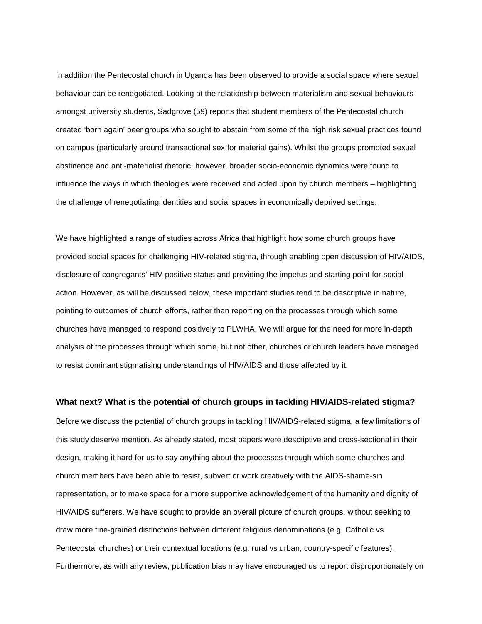In addition the Pentecostal church in Uganda has been observed to provide a social space where sexual behaviour can be renegotiated. Looking at the relationship between materialism and sexual behaviours amongst university students, Sadgrove (59) reports that student members of the Pentecostal church created 'born again' peer groups who sought to abstain from some of the high risk sexual practices found on campus (particularly around transactional sex for material gains). Whilst the groups promoted sexual abstinence and anti-materialist rhetoric, however, broader socio-economic dynamics were found to influence the ways in which theologies were received and acted upon by church members – highlighting the challenge of renegotiating identities and social spaces in economically deprived settings.

We have highlighted a range of studies across Africa that highlight how some church groups have provided social spaces for challenging HIV-related stigma, through enabling open discussion of HIV/AIDS, disclosure of congregants' HIV-positive status and providing the impetus and starting point for social action. However, as will be discussed below, these important studies tend to be descriptive in nature, pointing to outcomes of church efforts, rather than reporting on the processes through which some churches have managed to respond positively to PLWHA. We will argue for the need for more in-depth analysis of the processes through which some, but not other, churches or church leaders have managed to resist dominant stigmatising understandings of HIV/AIDS and those affected by it.

### **What next? What is the potential of church groups in tackling HIV/AIDS-related stigma?**

Before we discuss the potential of church groups in tackling HIV/AIDS-related stigma, a few limitations of this study deserve mention. As already stated, most papers were descriptive and cross-sectional in their design, making it hard for us to say anything about the processes through which some churches and church members have been able to resist, subvert or work creatively with the AIDS-shame-sin representation, or to make space for a more supportive acknowledgement of the humanity and dignity of HIV/AIDS sufferers. We have sought to provide an overall picture of church groups, without seeking to draw more fine-grained distinctions between different religious denominations (e.g. Catholic vs Pentecostal churches) or their contextual locations (e.g. rural vs urban; country-specific features). Furthermore, as with any review, publication bias may have encouraged us to report disproportionately on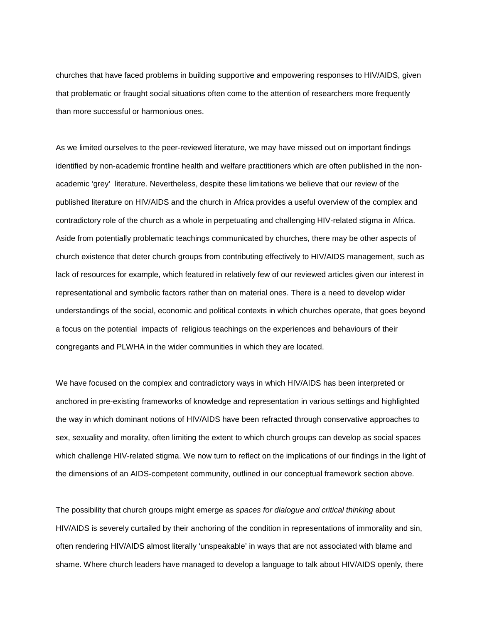churches that have faced problems in building supportive and empowering responses to HIV/AIDS, given that problematic or fraught social situations often come to the attention of researchers more frequently than more successful or harmonious ones.

As we limited ourselves to the peer-reviewed literature, we may have missed out on important findings identified by non-academic frontline health and welfare practitioners which are often published in the nonacademic 'grey' literature. Nevertheless, despite these limitations we believe that our review of the published literature on HIV/AIDS and the church in Africa provides a useful overview of the complex and contradictory role of the church as a whole in perpetuating and challenging HIV-related stigma in Africa. Aside from potentially problematic teachings communicated by churches, there may be other aspects of church existence that deter church groups from contributing effectively to HIV/AIDS management, such as lack of resources for example, which featured in relatively few of our reviewed articles given our interest in representational and symbolic factors rather than on material ones. There is a need to develop wider understandings of the social, economic and political contexts in which churches operate, that goes beyond a focus on the potential impacts of religious teachings on the experiences and behaviours of their congregants and PLWHA in the wider communities in which they are located.

We have focused on the complex and contradictory ways in which HIV/AIDS has been interpreted or anchored in pre-existing frameworks of knowledge and representation in various settings and highlighted the way in which dominant notions of HIV/AIDS have been refracted through conservative approaches to sex, sexuality and morality, often limiting the extent to which church groups can develop as social spaces which challenge HIV-related stigma. We now turn to reflect on the implications of our findings in the light of the dimensions of an AIDS-competent community, outlined in our conceptual framework section above.

The possibility that church groups might emerge as *spaces for dialogue and critical thinking* about HIV/AIDS is severely curtailed by their anchoring of the condition in representations of immorality and sin, often rendering HIV/AIDS almost literally 'unspeakable' in ways that are not associated with blame and shame. Where church leaders have managed to develop a language to talk about HIV/AIDS openly, there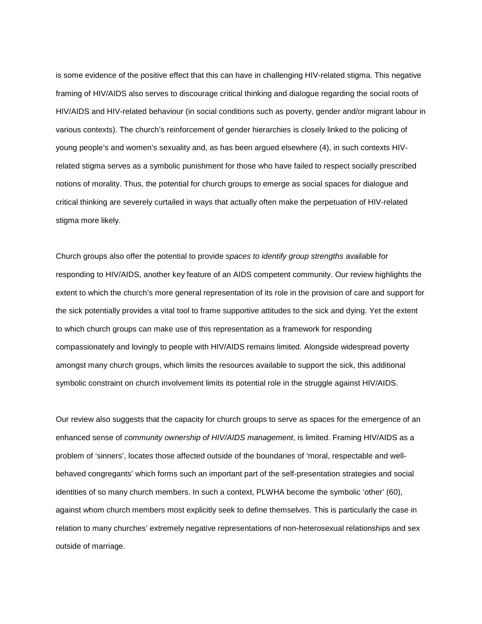is some evidence of the positive effect that this can have in challenging HIV-related stigma. This negative framing of HIV/AIDS also serves to discourage critical thinking and dialogue regarding the social roots of HIV/AIDS and HIV-related behaviour (in social conditions such as poverty, gender and/or migrant labour in various contexts). The church's reinforcement of gender hierarchies is closely linked to the policing of young people's and women's sexuality and, as has been argued elsewhere (4), in such contexts HIVrelated stigma serves as a symbolic punishment for those who have failed to respect socially prescribed notions of morality. Thus, the potential for church groups to emerge as social spaces for dialogue and critical thinking are severely curtailed in ways that actually often make the perpetuation of HIV-related stigma more likely.

Church groups also offer the potential to provide *spaces to identify group strengths* available for responding to HIV/AIDS, another key feature of an AIDS competent community. Our review highlights the extent to which the church's more general representation of its role in the provision of care and support for the sick potentially provides a vital tool to frame supportive attitudes to the sick and dying. Yet the extent to which church groups can make use of this representation as a framework for responding compassionately and lovingly to people with HIV/AIDS remains limited. Alongside widespread poverty amongst many church groups, which limits the resources available to support the sick, this additional symbolic constraint on church involvement limits its potential role in the struggle against HIV/AIDS.

Our review also suggests that the capacity for church groups to serve as spaces for the emergence of an enhanced sense of *community ownership of HIV/AIDS management*, is limited. Framing HIV/AIDS as a problem of 'sinners', locates those affected outside of the boundaries of 'moral, respectable and wellbehaved congregants' which forms such an important part of the self-presentation strategies and social identities of so many church members. In such a context, PLWHA become the symbolic 'other' (60), against whom church members most explicitly seek to define themselves. This is particularly the case in relation to many churches' extremely negative representations of non-heterosexual relationships and sex outside of marriage.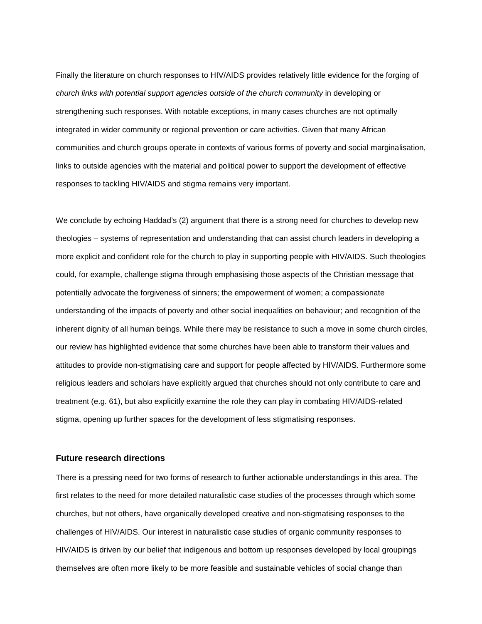Finally the literature on church responses to HIV/AIDS provides relatively little evidence for the forging of *church links with potential support agencies outside of the church community* in developing or strengthening such responses. With notable exceptions, in many cases churches are not optimally integrated in wider community or regional prevention or care activities. Given that many African communities and church groups operate in contexts of various forms of poverty and social marginalisation, links to outside agencies with the material and political power to support the development of effective responses to tackling HIV/AIDS and stigma remains very important.

We conclude by echoing Haddad's (2) argument that there is a strong need for churches to develop new theologies – systems of representation and understanding that can assist church leaders in developing a more explicit and confident role for the church to play in supporting people with HIV/AIDS. Such theologies could, for example, challenge stigma through emphasising those aspects of the Christian message that potentially advocate the forgiveness of sinners; the empowerment of women; a compassionate understanding of the impacts of poverty and other social inequalities on behaviour; and recognition of the inherent dignity of all human beings. While there may be resistance to such a move in some church circles, our review has highlighted evidence that some churches have been able to transform their values and attitudes to provide non-stigmatising care and support for people affected by HIV/AIDS. Furthermore some religious leaders and scholars have explicitly argued that churches should not only contribute to care and treatment (e.g. 61), but also explicitly examine the role they can play in combating HIV/AIDS-related stigma, opening up further spaces for the development of less stigmatising responses.

### **Future research directions**

There is a pressing need for two forms of research to further actionable understandings in this area. The first relates to the need for more detailed naturalistic case studies of the processes through which some churches, but not others, have organically developed creative and non-stigmatising responses to the challenges of HIV/AIDS. Our interest in naturalistic case studies of organic community responses to HIV/AIDS is driven by our belief that indigenous and bottom up responses developed by local groupings themselves are often more likely to be more feasible and sustainable vehicles of social change than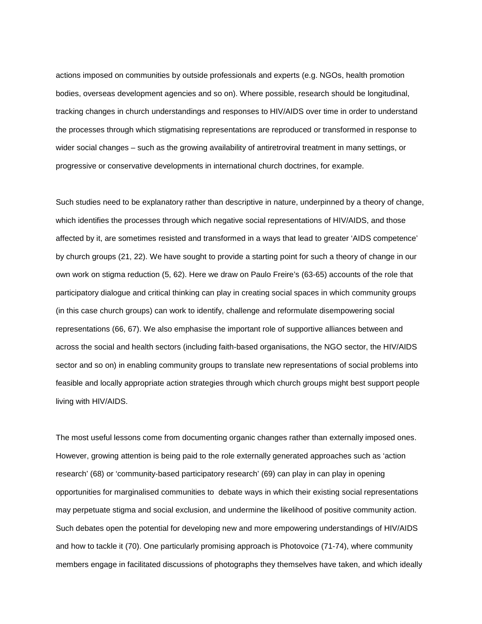actions imposed on communities by outside professionals and experts (e.g. NGOs, health promotion bodies, overseas development agencies and so on). Where possible, research should be longitudinal, tracking changes in church understandings and responses to HIV/AIDS over time in order to understand the processes through which stigmatising representations are reproduced or transformed in response to wider social changes – such as the growing availability of antiretroviral treatment in many settings, or progressive or conservative developments in international church doctrines, for example.

Such studies need to be explanatory rather than descriptive in nature, underpinned by a theory of change, which identifies the processes through which negative social representations of HIV/AIDS, and those affected by it, are sometimes resisted and transformed in a ways that lead to greater 'AIDS competence' by church groups (21, 22). We have sought to provide a starting point for such a theory of change in our own work on stigma reduction (5, 62). Here we draw on Paulo Freire's (63-65) accounts of the role that participatory dialogue and critical thinking can play in creating social spaces in which community groups (in this case church groups) can work to identify, challenge and reformulate disempowering social representations (66, 67). We also emphasise the important role of supportive alliances between and across the social and health sectors (including faith-based organisations, the NGO sector, the HIV/AIDS sector and so on) in enabling community groups to translate new representations of social problems into feasible and locally appropriate action strategies through which church groups might best support people living with HIV/AIDS.

The most useful lessons come from documenting organic changes rather than externally imposed ones. However, growing attention is being paid to the role externally generated approaches such as 'action research' (68) or 'community-based participatory research' (69) can play in can play in opening opportunities for marginalised communities to debate ways in which their existing social representations may perpetuate stigma and social exclusion, and undermine the likelihood of positive community action. Such debates open the potential for developing new and more empowering understandings of HIV/AIDS and how to tackle it (70). One particularly promising approach is Photovoice (71-74), where community members engage in facilitated discussions of photographs they themselves have taken, and which ideally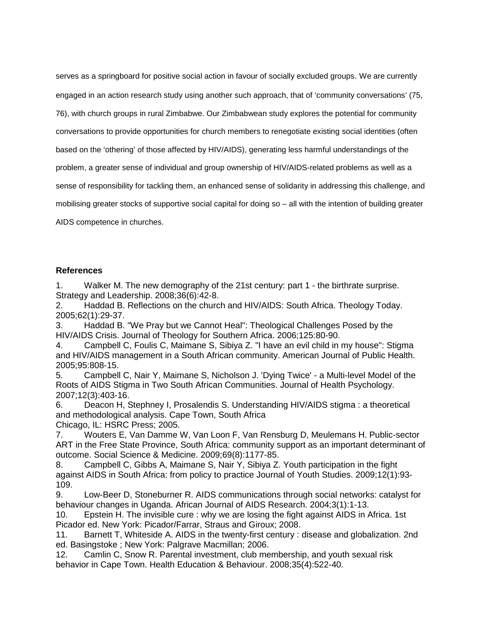serves as a springboard for positive social action in favour of socially excluded groups. We are currently engaged in an action research study using another such approach, that of 'community conversations' (75, 76), with church groups in rural Zimbabwe. Our Zimbabwean study explores the potential for community conversations to provide opportunities for church members to renegotiate existing social identities (often based on the 'othering' of those affected by HIV/AIDS), generating less harmful understandings of the problem, a greater sense of individual and group ownership of HIV/AIDS-related problems as well as a sense of responsibility for tackling them, an enhanced sense of solidarity in addressing this challenge, and mobilising greater stocks of supportive social capital for doing so – all with the intention of building greater

AIDS competence in churches.

### **References**

1. Walker M. The new demography of the 21st century: part 1 - the birthrate surprise. Strategy and Leadership. 2008;36(6):42-8.

2. Haddad B. Reflections on the church and HIV/AIDS: South Africa. Theology Today. 2005;62(1):29-37.

3. Haddad B. "We Pray but we Cannot Heal": Theological Challenges Posed by the HIV/AIDS Crisis. Journal of Theology for Southern Africa. 2006;125:80-90.

4. Campbell C, Foulis C, Maimane S, Sibiya Z. "I have an evil child in my house": Stigma and HIV/AIDS management in a South African community. American Journal of Public Health. 2005;95:808-15.

5. Campbell C, Nair Y, Maimane S, Nicholson J. 'Dying Twice' - a Multi-level Model of the Roots of AIDS Stigma in Two South African Communities. Journal of Health Psychology. 2007;12(3):403-16.

6. Deacon H, Stephney I, Prosalendis S. Understanding HIV/AIDS stigma : a theoretical and methodological analysis. Cape Town, South Africa Chicago, IL: HSRC Press; 2005.

7. Wouters E, Van Damme W, Van Loon F, Van Rensburg D, Meulemans H. Public-sector ART in the Free State Province, South Africa: community support as an important determinant of outcome. Social Science & Medicine. 2009;69(8):1177-85.

8. Campbell C, Gibbs A, Maimane S, Nair Y, Sibiya Z. Youth participation in the fight against AIDS in South Africa: from policy to practice Journal of Youth Studies. 2009;12(1):93- 109.

9. Low-Beer D, Stoneburner R. AIDS communications through social networks: catalyst for behaviour changes in Uganda. African Journal of AIDS Research. 2004;3(1):1-13.

10. Epstein H. The invisible cure : why we are losing the fight against AIDS in Africa. 1st Picador ed. New York: Picador/Farrar, Straus and Giroux; 2008.

11. Barnett T, Whiteside A. AIDS in the twenty-first century : disease and globalization. 2nd ed. Basingstoke ; New York: Palgrave Macmillan; 2006.

12. Camlin C, Snow R. Parental investment, club membership, and youth sexual risk behavior in Cape Town. Health Education & Behaviour. 2008;35(4):522-40.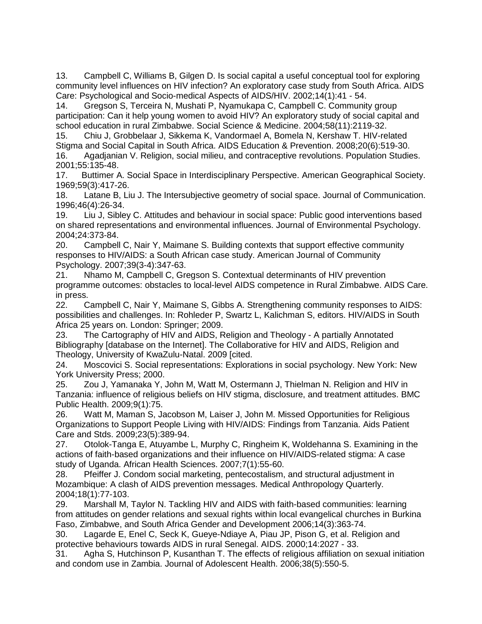13. Campbell C, Williams B, Gilgen D. Is social capital a useful conceptual tool for exploring community level influences on HIV infection? An exploratory case study from South Africa. AIDS Care: Psychological and Socio-medical Aspects of AIDS/HIV. 2002;14(1):41 - 54.<br>14. Gregson S. Terceira N. Mushati P. Nyamukapa C. Campbell C. Communit

14. Gregson S, Terceira N, Mushati P, Nyamukapa C, Campbell C. Community group participation: Can it help young women to avoid HIV? An exploratory study of social capital and school education in rural Zimbabwe. Social Science & Medicine. 2004;58(11):2119-32.

15. Chiu J, Grobbelaar J, Sikkema K, Vandormael A, Bomela N, Kershaw T. HIV-related Stigma and Social Capital in South Africa. AIDS Education & Prevention. 2008;20(6):519-30. 16. Agadjanian V. Religion, social milieu, and contraceptive revolutions. Population Studies. 2001;55:135-48.

17. Buttimer A. Social Space in Interdisciplinary Perspective. American Geographical Society. 1969;59(3):417-26.

18. Latane B, Liu J. The Intersubjective geometry of social space. Journal of Communication. 1996;46(4):26-34.

19. Liu J, Sibley C. Attitudes and behaviour in social space: Public good interventions based on shared representations and environmental influences. Journal of Environmental Psychology.

2004;24:373-84. 20. Campbell C, Nair Y, Maimane S. Building contexts that support effective community responses to HIV/AIDS: a South African case study. American Journal of Community Psychology. 2007;39(3-4):347-63.

21. Nhamo M, Campbell C, Gregson S. Contextual determinants of HIV prevention programme outcomes: obstacles to local-level AIDS competence in Rural Zimbabwe. AIDS Care. in press.<br>22. C

22. Campbell C, Nair Y, Maimane S, Gibbs A. Strengthening community responses to AIDS: possibilities and challenges. In: Rohleder P, Swartz L, Kalichman S, editors. HIV/AIDS in South Africa 25 years on. London: Springer; 2009.

23. The Cartography of HIV and AIDS, Religion and Theology - A partially Annotated Bibliography [database on the Internet]. The Collaborative for HIV and AIDS, Religion and Theology, University of KwaZulu-Natal. 2009 [cited.

24. Moscovici S. Social representations: Explorations in social psychology. New York: New York University Press; 2000.

25. Zou J, Yamanaka Y, John M, Watt M, Ostermann J, Thielman N. Religion and HIV in Tanzania: influence of religious beliefs on HIV stigma, disclosure, and treatment attitudes. BMC Public Health. 2009;9(1):75.

26. Watt M, Maman S, Jacobson M, Laiser J, John M. Missed Opportunities for Religious Organizations to Support People Living with HIV/AIDS: Findings from Tanzania. Aids Patient Care and Stds. 2009;23(5):389-94.

27. Otolok-Tanga E, Atuyambe L, Murphy C, Ringheim K, Woldehanna S. Examining in the actions of faith-based organizations and their influence on HIV/AIDS-related stigma: A case study of Uganda. African Health Sciences. 2007;7(1):55-60.

28. Pfeiffer J. Condom social marketing, pentecostalism, and structural adjustment in Mozambique: A clash of AIDS prevention messages. Medical Anthropology Quarterly. 2004;18(1):77-103.

29. Marshall M, Taylor N. Tackling HIV and AIDS with faith-based communities: learning from attitudes on gender relations and sexual rights within local evangelical churches in Burkina Faso, Zimbabwe, and South Africa Gender and Development 2006;14(3):363-74.

30. Lagarde E, Enel C, Seck K, Gueye-Ndiaye A, Piau JP, Pison G, et al. Religion and protective behaviours towards AIDS in rural Senegal. AIDS. 2000;14:2027 - 33.

31. Agha S, Hutchinson P, Kusanthan T. The effects of religious affiliation on sexual initiation and condom use in Zambia. Journal of Adolescent Health. 2006;38(5):550-5.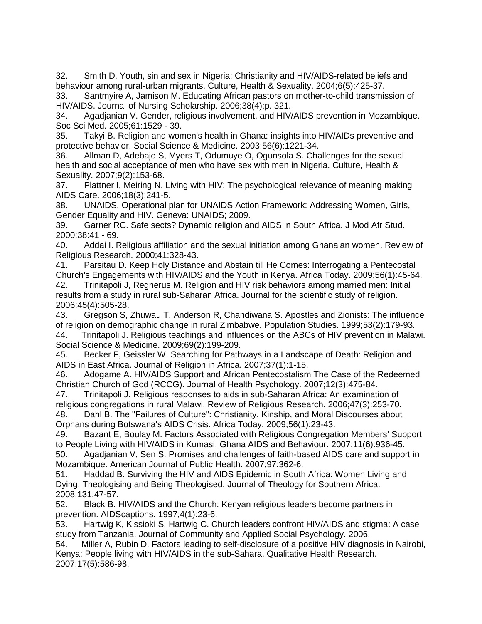32. Smith D. Youth, sin and sex in Nigeria: Christianity and HIV/AIDS-related beliefs and behaviour among rural-urban migrants. Culture, Health & Sexuality. 2004;6(5):425-37.

33. Santmyire A, Jamison M. Educating African pastors on mother-to-child transmission of HIV/AIDS. Journal of Nursing Scholarship. 2006;38(4):p. 321.

34. Agadjanian V. Gender, religious involvement, and HIV/AIDS prevention in Mozambique. Soc Sci Med. 2005;61:1529 - 39.

35. Takyi B. Religion and women's health in Ghana: insights into HIV/AIDs preventive and protective behavior. Social Science & Medicine. 2003;56(6):1221-34.

36. Allman D, Adebajo S, Myers T, Odumuye O, Ogunsola S. Challenges for the sexual health and social acceptance of men who have sex with men in Nigeria. Culture, Health & Sexuality. 2007;9(2):153-68.

37. Plattner I, Meiring N. Living with HIV: The psychological relevance of meaning making AIDS Care. 2006;18(3):241-5.

38. UNAIDS. Operational plan for UNAIDS Action Framework: Addressing Women, Girls, Gender Equality and HIV. Geneva: UNAIDS; 2009.

39. Garner RC. Safe sects? Dynamic religion and AIDS in South Africa. J Mod Afr Stud. 2000;38:41 - 69.

40. Addai I. Religious affiliation and the sexual initiation among Ghanaian women. Review of Religious Research. 2000;41:328-43.

41. Parsitau D. Keep Holy Distance and Abstain till He Comes: Interrogating a Pentecostal Church's Engagements with HIV/AIDS and the Youth in Kenya. Africa Today. 2009;56(1):45-64.

42. Trinitapoli J, Regnerus M. Religion and HIV risk behaviors among married men: Initial results from a study in rural sub-Saharan Africa. Journal for the scientific study of religion. 2006;45(4):505-28.

43. Gregson S, Zhuwau T, Anderson R, Chandiwana S. Apostles and Zionists: The influence of religion on demographic change in rural Zimbabwe. Population Studies. 1999;53(2):179-93. 44. Trinitapoli J. Religious teachings and influences on the ABCs of HIV prevention in Malawi. Social Science & Medicine. 2009;69(2):199-209.

45. Becker F, Geissler W. Searching for Pathways in a Landscape of Death: Religion and AIDS in East Africa. Journal of Religion in Africa. 2007;37(1):1-15.

46. Adogame A. HIV/AIDS Support and African Pentecostalism The Case of the Redeemed Christian Church of God (RCCG). Journal of Health Psychology. 2007;12(3):475-84.

47. Trinitapoli J. Religious responses to aids in sub-Saharan Africa: An examination of religious congregations in rural Malawi. Review of Religious Research. 2006;47(3):253-70. 48. Dahl B. The "Failures of Culture": Christianity, Kinship, and Moral Discourses about

Orphans during Botswana's AIDS Crisis. Africa Today. 2009;56(1):23-43.

49. Bazant E, Boulay M. Factors Associated with Religious Congregation Members' Support to People Living with HIV/AIDS in Kumasi, Ghana AIDS and Behaviour. 2007;11(6):936-45.

50. Agadjanian V, Sen S. Promises and challenges of faith-based AIDS care and support in Mozambique. American Journal of Public Health. 2007;97:362-6.

51. Haddad B. Surviving the HIV and AIDS Epidemic in South Africa: Women Living and Dying, Theologising and Being Theologised. Journal of Theology for Southern Africa. 2008;131:47-57.

52. Black B. HIV/AIDS and the Church: Kenyan religious leaders become partners in prevention. AIDScaptions. 1997;4(1):23-6.

53. Hartwig K, Kissioki S, Hartwig C. Church leaders confront HIV/AIDS and stigma: A case study from Tanzania. Journal of Community and Applied Social Psychology. 2006.

54. Miller A, Rubin D. Factors leading to self-disclosure of a positive HIV diagnosis in Nairobi, Kenya: People living with HIV/AIDS in the sub-Sahara. Qualitative Health Research. 2007;17(5):586-98.